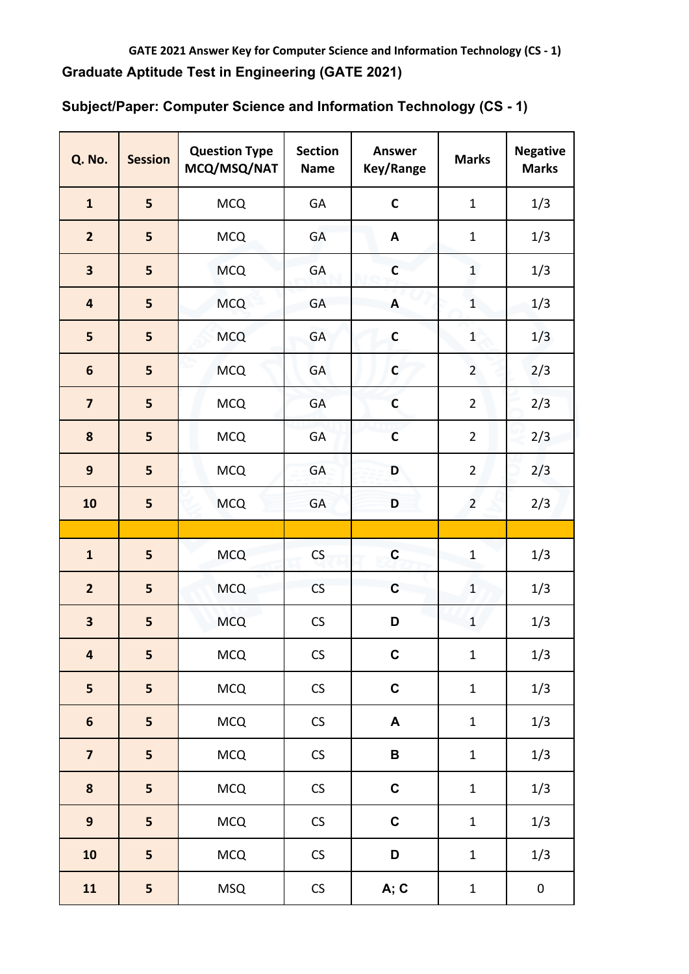| <b>Q. No.</b>           | <b>Session</b> | <b>Question Type</b><br>MCQ/MSQ/NAT | <b>Section</b><br><b>Name</b> | <b>Answer</b><br>Key/Range | <b>Marks</b>   | <b>Negative</b><br><b>Marks</b> |
|-------------------------|----------------|-------------------------------------|-------------------------------|----------------------------|----------------|---------------------------------|
| $\mathbf{1}$            | 5              | <b>MCQ</b>                          | GA                            | $\mathbf C$                | $\mathbf{1}$   | 1/3                             |
| $\overline{2}$          | 5              | <b>MCQ</b>                          | GA                            | A                          | $\mathbf{1}$   | 1/3                             |
| $\overline{\mathbf{3}}$ | 5              | <b>MCQ</b>                          | GA                            | $\mathbf c$                | $\mathbf{1}$   | 1/3                             |
| $\overline{\mathbf{4}}$ | 5              | <b>MCQ</b>                          | GA                            | A                          | $\mathbf{1}$   | 1/3                             |
| 5                       | 5              | <b>MCQ</b>                          | GA                            | $\mathsf{C}$               | $\mathbf{1}$   | 1/3                             |
| $\boldsymbol{6}$        | 5              | <b>MCQ</b>                          | GA                            | $\mathsf{C}$               | $\overline{2}$ | 2/3                             |
| $\overline{\mathbf{z}}$ | 5              | <b>MCQ</b>                          | GA                            | $\mathsf{C}$               | $\overline{2}$ | 2/3                             |
| 8                       | 5              | <b>MCQ</b>                          | GA                            | $\mathbf C$                | $\overline{2}$ | 2/3                             |
| $\mathbf{9}$            | 5              | <b>MCQ</b>                          | GA                            | D                          | $\overline{2}$ | 2/3                             |
| 10                      | 5              | <b>MCQ</b>                          | GA                            | D                          | $\overline{2}$ | 2/3                             |
|                         |                |                                     |                               |                            |                |                                 |
| $\mathbf{1}$            | 5              | <b>MCQ</b>                          | CS                            | $\mathbf C$                | $\mathbf{1}$   | 1/3                             |
| $\overline{2}$          | 5              | <b>MCQ</b>                          | CS                            | $\mathbf C$                | $\mathbf 1$    | 1/3                             |
| $\overline{\mathbf{3}}$ | 5              | <b>MCQ</b>                          | CS                            | D                          | $\mathbf{1}$   | 1/3                             |
| $\overline{\mathbf{4}}$ | 5              | <b>MCQ</b>                          | <b>CS</b>                     | C                          | $\mathbf{1}$   | 1/3                             |
| $\overline{\mathbf{5}}$ | 5              | <b>MCQ</b>                          | ${\sf CS}$                    | $\mathbf C$                | $\mathbf 1$    | 1/3                             |
| $\boldsymbol{6}$        | 5              | <b>MCQ</b>                          | $\mathsf{CS}\xspace$          | $\blacktriangle$           | $\mathbf 1$    | 1/3                             |
| $\overline{\mathbf{z}}$ | 5              | <b>MCQ</b>                          | $\mathsf{CS}\xspace$          | $\, {\bf B}$               | $\mathbf 1$    | 1/3                             |
| $\bf 8$                 | 5              | <b>MCQ</b>                          | ${\sf CS}$                    | $\mathbf C$                | $\mathbf 1$    | 1/3                             |
| $\overline{9}$          | 5              | <b>MCQ</b>                          | ${\sf CS}$                    | $\mathbf C$                | $\mathbf{1}$   | 1/3                             |
| 10                      | 5              | <b>MCQ</b>                          | ${\sf CS}$                    | D                          | $\mathbf{1}$   | 1/3                             |
| 11                      | 5              | <b>MSQ</b>                          | ${\sf CS}$                    | A; C                       | $\mathbf 1$    | $\pmb{0}$                       |

**Subject/Paper: Computer Science and Information Technology (CS - 1)**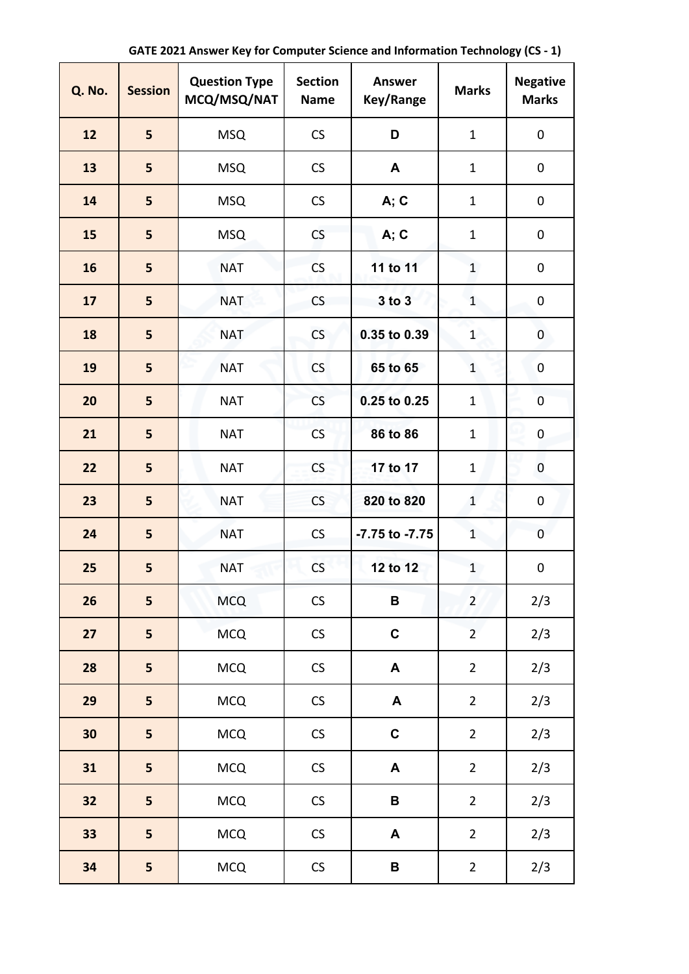| <b>Q. No.</b> | <b>Session</b> | <b>Question Type</b><br>MCQ/MSQ/NAT | <b>Section</b><br><b>Name</b> | <b>Answer</b><br>Key/Range | <b>Marks</b>   | <b>Negative</b><br><b>Marks</b> |
|---------------|----------------|-------------------------------------|-------------------------------|----------------------------|----------------|---------------------------------|
| 12            | 5              | <b>MSQ</b>                          | CS                            | D                          | $\mathbf{1}$   | 0                               |
| 13            | 5              | <b>MSQ</b>                          | <b>CS</b>                     | A                          | $\mathbf{1}$   | $\mathbf 0$                     |
| 14            | 5              | <b>MSQ</b>                          | CS                            | A; C                       | $\mathbf{1}$   | $\pmb{0}$                       |
| 15            | 5              | <b>MSQ</b>                          | CS                            | A; C                       | $\mathbf{1}$   | 0                               |
| 16            | 5              | <b>NAT</b>                          | <b>CS</b>                     | 11 to 11                   | $\mathbf{1}$   | $\pmb{0}$                       |
| 17            | 5              | <b>NAT</b>                          | CS                            | 3 to 3                     | $\mathbf{1}$   | 0                               |
| 18            | 5              | <b>NAT</b>                          | <b>CS</b>                     | 0.35 to 0.39               | $\mathbf{1}$   | 0                               |
| 19            | 5              | <b>NAT</b>                          | CS                            | 65 to 65                   | $\mathbf{1}$   | 0                               |
| 20            | 5              | <b>NAT</b>                          | CS                            | 0.25 to 0.25               | $\mathbf{1}$   | $\overline{0}$                  |
| 21            | 5              | <b>NAT</b>                          | <b>CS</b>                     | 86 to 86                   | $\mathbf{1}$   | $\pmb{0}$                       |
| 22            | 5              | <b>NAT</b>                          | CS                            | 17 to 17                   | $\mathbf{1}$   | $\pmb{0}$                       |
| 23            | 5              | <b>NAT</b>                          | <b>CS</b>                     | 820 to 820                 | $\mathbf{1}$   | 0                               |
| 24            | 5              | <b>NAT</b>                          | CS                            | -7.75 to -7.75             | $\mathbf{1}$   | 0                               |
| 25            | 5              | <b>NAT</b>                          | CS                            | 12 to 12                   | $\mathbf{1}$   | $\pmb{0}$                       |
| 26            | 5              | <b>MCQ</b>                          | $\mathsf{CS}\xspace$          | $\, {\bf B}$               | $\overline{2}$ | 2/3                             |
| 27            | 5              | <b>MCQ</b>                          | $\mathsf{CS}\xspace$          | $\mathbf C$                | $\overline{2}$ | 2/3                             |
| 28            | 5              | <b>MCQ</b>                          | ${\sf CS}$                    | A                          | $\overline{2}$ | 2/3                             |
| 29            | 5              | <b>MCQ</b>                          | ${\sf CS}$                    | A                          | $\overline{2}$ | 2/3                             |
| 30            | 5              | <b>MCQ</b>                          | ${\sf CS}$                    | $\mathbf C$                | $\overline{2}$ | 2/3                             |
| 31            | 5              | <b>MCQ</b>                          | $\mathsf{CS}\xspace$          | $\blacktriangle$           | $\overline{2}$ | 2/3                             |
| 32            | 5              | <b>MCQ</b>                          | $\mathsf{CS}\xspace$          | В                          | $\overline{2}$ | 2/3                             |
| 33            | 5              | <b>MCQ</b>                          | $\mathsf{CS}\xspace$          | A                          | $\overline{2}$ | 2/3                             |
| 34            | 5              | <b>MCQ</b>                          | ${\sf CS}$                    | $\, {\bf B}$               | $\overline{2}$ | 2/3                             |